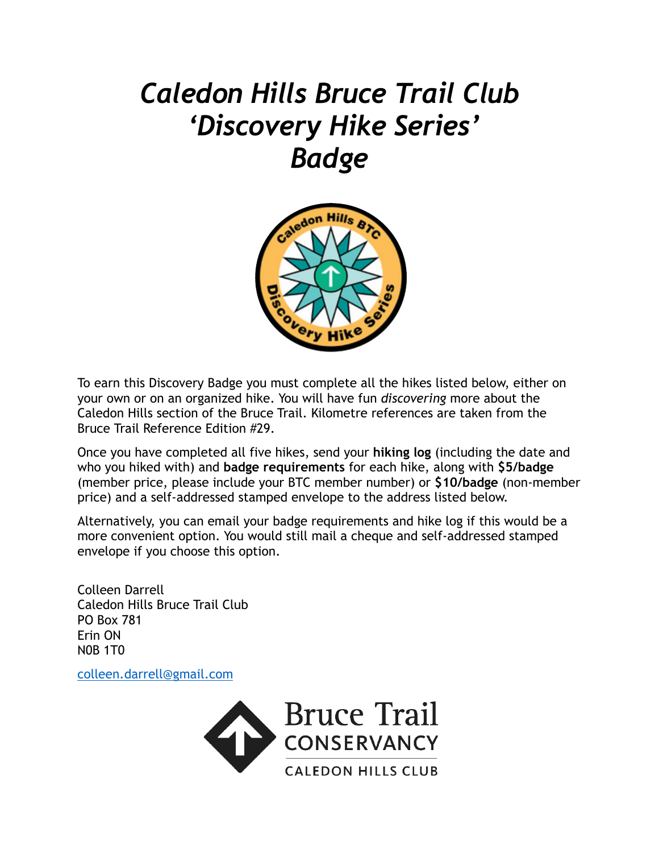# *Caledon Hills Bruce Trail Club 'Discovery Hike Series' Badge*



To earn this Discovery Badge you must complete all the hikes listed below, either on your own or on an organized hike. You will have fun *discovering* more about the Caledon Hills section of the Bruce Trail. Kilometre references are taken from the Bruce Trail Reference Edition #29.

Once you have completed all five hikes, send your **hiking log** (including the date and who you hiked with) and **badge requirements** for each hike, along with **\$5/badge**  (member price, please include your BTC member number) or **\$10/badge** (non-member price) and a self-addressed stamped envelope to the address listed below.

Alternatively, you can email your badge requirements and hike log if this would be a more convenient option. You would still mail a cheque and self-addressed stamped envelope if you choose this option.

Colleen Darrell Caledon Hills Bruce Trail Club PO Box 781 Erin ON N0B 1T0

[colleen.darrell@gmail.com](mailto:colleen.darrell@gmail.com)

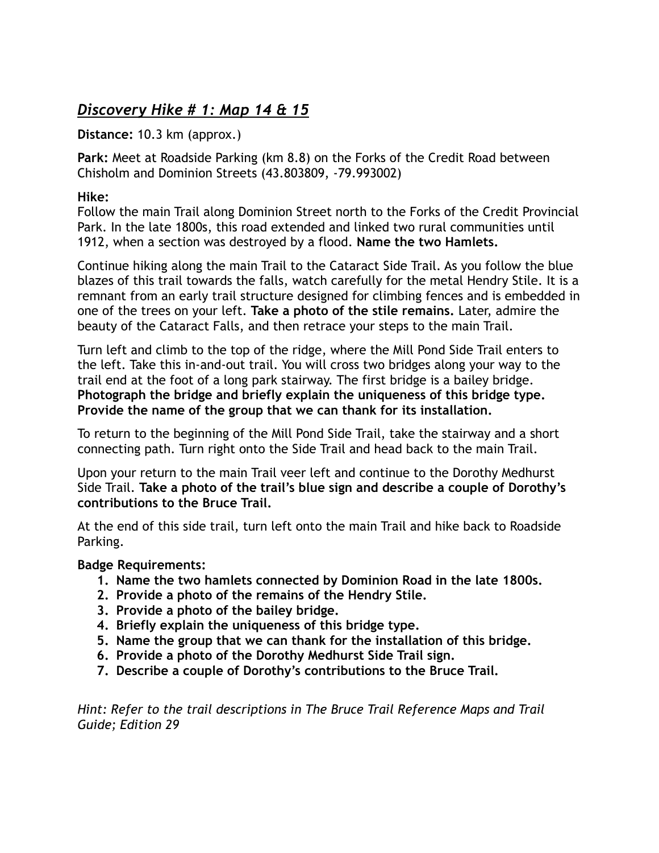# *Discovery Hike # 1: Map 14 & 15*

**Distance:** 10.3 km (approx.)

**Park:** Meet at Roadside Parking (km 8.8) on the Forks of the Credit Road between Chisholm and Dominion Streets (43.803809, -79.993002)

### **Hike:**

Follow the main Trail along Dominion Street north to the Forks of the Credit Provincial Park. In the late 1800s, this road extended and linked two rural communities until 1912, when a section was destroyed by a flood. **Name the two Hamlets.** 

Continue hiking along the main Trail to the Cataract Side Trail. As you follow the blue blazes of this trail towards the falls, watch carefully for the metal Hendry Stile. It is a remnant from an early trail structure designed for climbing fences and is embedded in one of the trees on your left. **Take a photo of the stile remains.** Later, admire the beauty of the Cataract Falls, and then retrace your steps to the main Trail.

Turn left and climb to the top of the ridge, where the Mill Pond Side Trail enters to the left. Take this in-and-out trail. You will cross two bridges along your way to the trail end at the foot of a long park stairway. The first bridge is a bailey bridge. **Photograph the bridge and briefly explain the uniqueness of this bridge type. Provide the name of the group that we can thank for its installation.** 

To return to the beginning of the Mill Pond Side Trail, take the stairway and a short connecting path. Turn right onto the Side Trail and head back to the main Trail.

Upon your return to the main Trail veer left and continue to the Dorothy Medhurst Side Trail. **Take a photo of the trail's blue sign and describe a couple of Dorothy's contributions to the Bruce Trail.** 

At the end of this side trail, turn left onto the main Trail and hike back to Roadside Parking.

## **Badge Requirements:**

- **1. Name the two hamlets connected by Dominion Road in the late 1800s.**
- **2. Provide a photo of the remains of the Hendry Stile.**
- **3. Provide a photo of the bailey bridge.**
- **4. Briefly explain the uniqueness of this bridge type.**
- **5. Name the group that we can thank for the installation of this bridge.**
- **6. Provide a photo of the Dorothy Medhurst Side Trail sign.**
- **7. Describe a couple of Dorothy's contributions to the Bruce Trail.**

*Hint: Refer to the trail descriptions in The Bruce Trail Reference Maps and Trail Guide; Edition 29*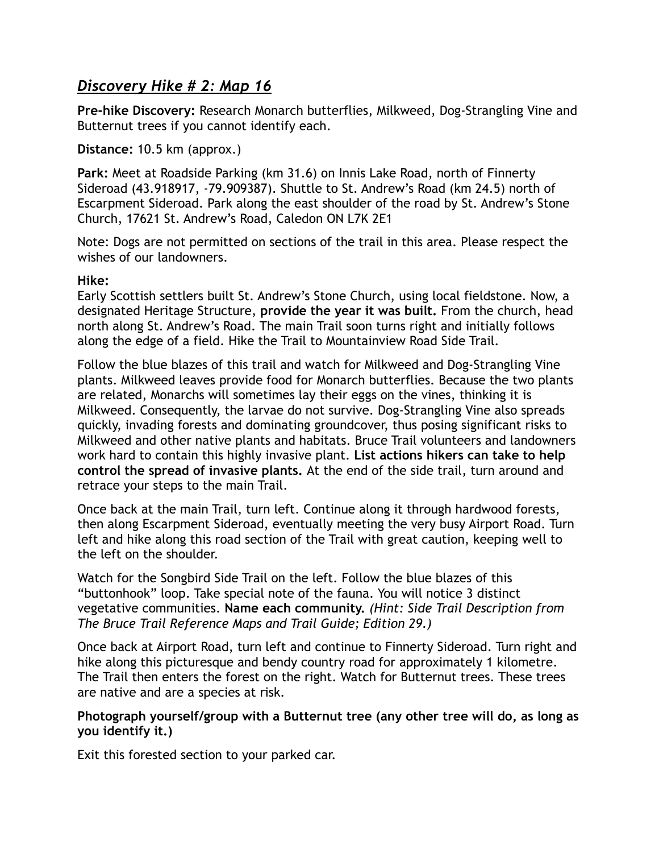## *Discovery Hike # 2: Map 16*

**Pre-hike Discovery:** Research Monarch butterflies, Milkweed, Dog-Strangling Vine and Butternut trees if you cannot identify each.

**Distance:** 10.5 km (approx.)

**Park:** Meet at Roadside Parking (km 31.6) on Innis Lake Road, north of Finnerty Sideroad (43.918917, -79.909387). Shuttle to St. Andrew's Road (km 24.5) north of Escarpment Sideroad. Park along the east shoulder of the road by St. Andrew's Stone Church, 17621 St. Andrew's Road, Caledon ON L7K 2E1

Note: Dogs are not permitted on sections of the trail in this area. Please respect the wishes of our landowners.

## **Hike:**

Early Scottish settlers built St. Andrew's Stone Church, using local fieldstone. Now, a designated Heritage Structure, **provide the year it was built.** From the church, head north along St. Andrew's Road. The main Trail soon turns right and initially follows along the edge of a field. Hike the Trail to Mountainview Road Side Trail.

Follow the blue blazes of this trail and watch for Milkweed and Dog-Strangling Vine plants. Milkweed leaves provide food for Monarch butterflies. Because the two plants are related, Monarchs will sometimes lay their eggs on the vines, thinking it is Milkweed. Consequently, the larvae do not survive. Dog-Strangling Vine also spreads quickly, invading forests and dominating groundcover, thus posing significant risks to Milkweed and other native plants and habitats. Bruce Trail volunteers and landowners work hard to contain this highly invasive plant. **List actions hikers can take to help control the spread of invasive plants.** At the end of the side trail, turn around and retrace your steps to the main Trail.

Once back at the main Trail, turn left. Continue along it through hardwood forests, then along Escarpment Sideroad, eventually meeting the very busy Airport Road. Turn left and hike along this road section of the Trail with great caution, keeping well to the left on the shoulder.

Watch for the Songbird Side Trail on the left. Follow the blue blazes of this "buttonhook" loop. Take special note of the fauna. You will notice 3 distinct vegetative communities. **Name each community.** *(Hint: Side Trail Description from The Bruce Trail Reference Maps and Trail Guide; Edition 29.)* 

Once back at Airport Road, turn left and continue to Finnerty Sideroad. Turn right and hike along this picturesque and bendy country road for approximately 1 kilometre. The Trail then enters the forest on the right. Watch for Butternut trees. These trees are native and are a species at risk.

#### **Photograph yourself/group with a Butternut tree (any other tree will do, as long as you identify it.)**

Exit this forested section to your parked car.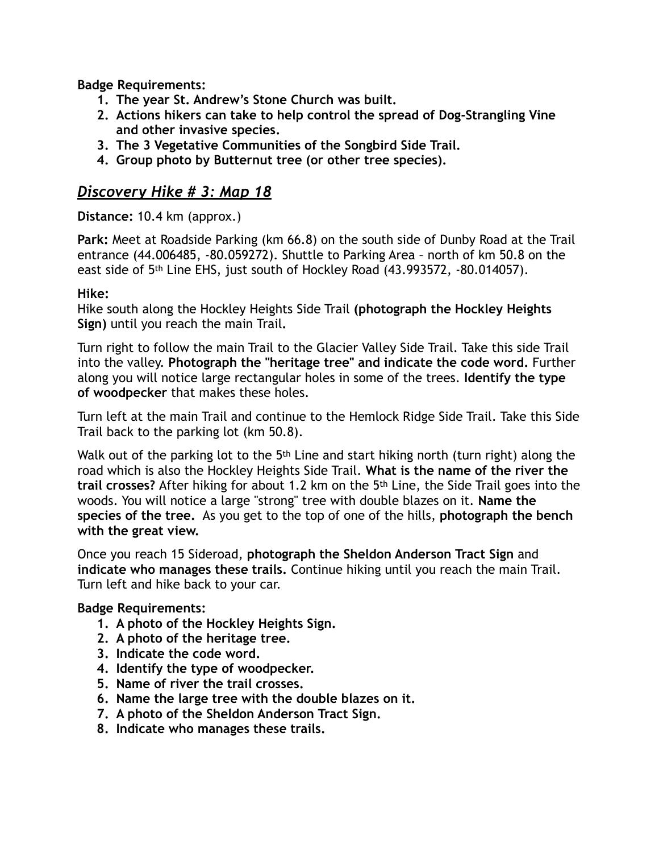**Badge Requirements:** 

- **1. The year St. Andrew's Stone Church was built.**
- **2. Actions hikers can take to help control the spread of Dog-Strangling Vine and other invasive species.**
- **3. The 3 Vegetative Communities of the Songbird Side Trail.**
- **4. Group photo by Butternut tree (or other tree species).**

## *Discovery Hike # 3: Map 18*

## **Distance:** 10.4 km (approx.)

**Park:** Meet at Roadside Parking (km 66.8) on the south side of Dunby Road at the Trail entrance (44.006485, -80.059272). Shuttle to Parking Area – north of km 50.8 on the east side of 5th Line EHS, just south of Hockley Road (43.993572, -80.014057).

## **Hike:**

Hike south along the Hockley Heights Side Trail **(photograph the Hockley Heights Sign)** until you reach the main Trail**.**

Turn right to follow the main Trail to the Glacier Valley Side Trail. Take this side Trail into the valley. **Photograph the "heritage tree" and indicate the code word.** Further along you will notice large rectangular holes in some of the trees. **Identify the type of woodpecker** that makes these holes.

Turn left at the main Trail and continue to the Hemlock Ridge Side Trail. Take this Side Trail back to the parking lot (km 50.8).

Walk out of the parking lot to the 5<sup>th</sup> Line and start hiking north (turn right) along the road which is also the Hockley Heights Side Trail. **What is the name of the river the trail crosses?** After hiking for about 1.2 km on the 5th Line, the Side Trail goes into the woods. You will notice a large "strong" tree with double blazes on it. **Name the species of the tree.** As you get to the top of one of the hills, **photograph the bench with the great view.** 

Once you reach 15 Sideroad, **photograph the Sheldon Anderson Tract Sign** and **indicate who manages these trails.** Continue hiking until you reach the main Trail. Turn left and hike back to your car.

## **Badge Requirements:**

- **1. A photo of the Hockley Heights Sign.**
- **2. A photo of the heritage tree.**
- **3. Indicate the code word.**
- **4. Identify the type of woodpecker.**
- **5. Name of river the trail crosses.**
- **6. Name the large tree with the double blazes on it.**
- **7. A photo of the Sheldon Anderson Tract Sign.**
- **8. Indicate who manages these trails.**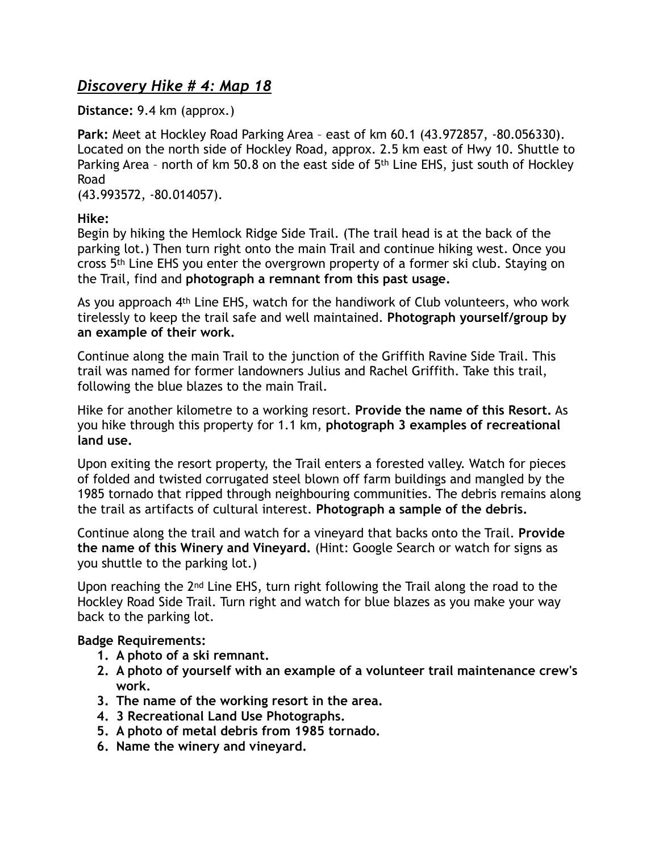# *Discovery Hike # 4: Map 18*

**Distance:** 9.4 km (approx.)

**Park:** Meet at Hockley Road Parking Area – east of km 60.1 (43.972857, -80.056330). Located on the north side of Hockley Road, approx. 2.5 km east of Hwy 10. Shuttle to Parking Area - north of km 50.8 on the east side of 5<sup>th</sup> Line EHS, just south of Hockley Road

(43.993572, -80.014057).

**Hike:** 

Begin by hiking the Hemlock Ridge Side Trail. (The trail head is at the back of the parking lot.) Then turn right onto the main Trail and continue hiking west. Once you cross 5th Line EHS you enter the overgrown property of a former ski club. Staying on the Trail, find and **photograph a remnant from this past usage.** 

As you approach 4th Line EHS, watch for the handiwork of Club volunteers, who work tirelessly to keep the trail safe and well maintained. **Photograph yourself/group by an example of their work.** 

Continue along the main Trail to the junction of the Griffith Ravine Side Trail. This trail was named for former landowners Julius and Rachel Griffith. Take this trail, following the blue blazes to the main Trail.

Hike for another kilometre to a working resort. **Provide the name of this Resort.** As you hike through this property for 1.1 km, **photograph 3 examples of recreational land use.** 

Upon exiting the resort property, the Trail enters a forested valley. Watch for pieces of folded and twisted corrugated steel blown off farm buildings and mangled by the 1985 tornado that ripped through neighbouring communities. The debris remains along the trail as artifacts of cultural interest. **Photograph a sample of the debris.** 

Continue along the trail and watch for a vineyard that backs onto the Trail. **Provide the name of this Winery and Vineyard.** (Hint: Google Search or watch for signs as you shuttle to the parking lot.)

Upon reaching the 2nd Line EHS, turn right following the Trail along the road to the Hockley Road Side Trail. Turn right and watch for blue blazes as you make your way back to the parking lot.

## **Badge Requirements:**

- **1. A photo of a ski remnant.**
- **2. A photo of yourself with an example of a volunteer trail maintenance crew's work.**
- **3. The name of the working resort in the area.**
- **4. 3 Recreational Land Use Photographs.**
- **5. A photo of metal debris from 1985 tornado.**
- **6. Name the winery and vineyard.**